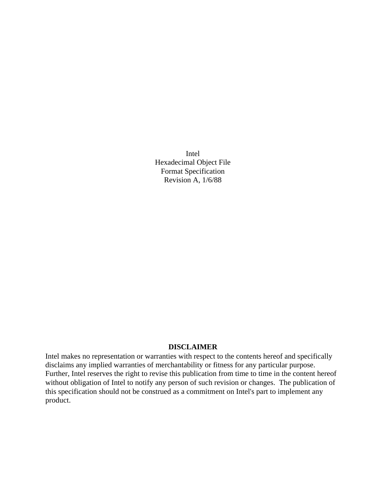Intel Hexadecimal Object File Format Specification Revision A, 1/6/88

# **DISCLAIMER**

Intel makes no representation or warranties with respect to the contents hereof and specifically disclaims any implied warranties of merchantability or fitness for any particular purpose. Further, Intel reserves the right to revise this publication from time to time in the content hereof without obligation of Intel to notify any person of such revision or changes. The publication of this specification should not be construed as a commitment on Intel's part to implement any product.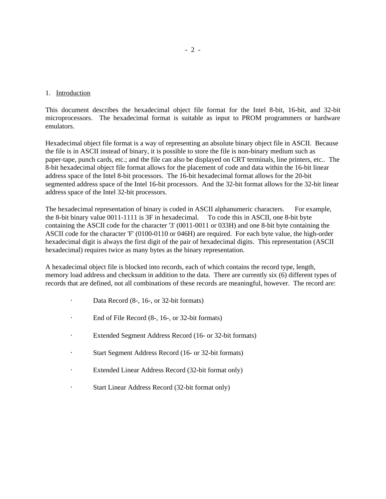## 1. Introduction

This document describes the hexadecimal object file format for the Intel 8-bit, 16-bit, and 32-bit microprocessors. The hexadecimal format is suitable as input to PROM programmers or hardware emulators.

Hexadecimal object file format is a way of representing an absolute binary object file in ASCII. Because the file is in ASCII instead of binary, it is possible to store the file is non-binary medium such as paper-tape, punch cards, etc.; and the file can also be displayed on CRT terminals, line printers, etc.. The 8-bit hexadecimal object file format allows for the placement of code and data within the 16-bit linear address space of the Intel 8-bit processors. The 16-bit hexadecimal format allows for the 20-bit segmented address space of the Intel 16-bit processors. And the 32-bit format allows for the 32-bit linear address space of the Intel 32-bit processors.

The hexadecimal representation of binary is coded in ASCII alphanumeric characters. For example, the 8-bit binary value 0011-1111 is 3F in hexadecimal. To code this in ASCII, one 8-bit byte containing the ASCII code for the character '3' (0011-0011 or 033H) and one 8-bit byte containing the ASCII code for the character 'F' (0100-0110 or 046H) are required. For each byte value, the high-order hexadecimal digit is always the first digit of the pair of hexadecimal digits. This representation (ASCII hexadecimal) requires twice as many bytes as the binary representation.

A hexadecimal object file is blocked into records, each of which contains the record type, length, memory load address and checksum in addition to the data. There are currently six (6) different types of records that are defined, not all combinations of these records are meaningful, however. The record are:

- Data Record (8-, 16-, or 32-bit formats)
- · End of File Record (8-, 16-, or 32-bit formats)
- · Extended Segment Address Record (16- or 32-bit formats)
- Start Segment Address Record (16- or 32-bit formats)
- · Extended Linear Address Record (32-bit format only)
- Start Linear Address Record (32-bit format only)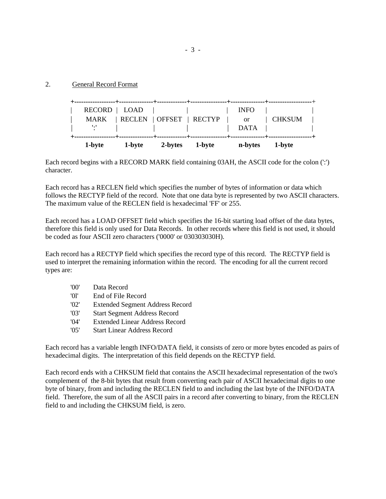# 2. General Record Format

| 1-byte                      | 1-byte                   | 2-bytes | 1-byte | n-bytes                          | 1-byte |  |
|-----------------------------|--------------------------|---------|--------|----------------------------------|--------|--|
| RECORD   LOAD<br>MARK<br>∵' | RECLEN   OFFSET   RECTYP |         |        | <b>INFO</b><br><b>or</b><br>DATA | CHKSUM |  |
|                             | . + +                    |         |        |                                  |        |  |

Each record begins with a RECORD MARK field containing 03AH, the ASCII code for the colon (':') character.

Each record has a RECLEN field which specifies the number of bytes of information or data which follows the RECTYP field of the record. Note that one data byte is represented by two ASCII characters. The maximum value of the RECLEN field is hexadecimal 'FF' or 255.

Each record has a LOAD OFFSET field which specifies the 16-bit starting load offset of the data bytes, therefore this field is only used for Data Records. In other records where this field is not used, it should be coded as four ASCII zero characters ('0000' or 030303030H).

Each record has a RECTYP field which specifies the record type of this record. The RECTYP field is used to interpret the remaining information within the record. The encoding for all the current record types are:

| '00'            | Data Record                            |
|-----------------|----------------------------------------|
| '01'            | End of File Record                     |
| '02'            | <b>Extended Segment Address Record</b> |
| '03'            | <b>Start Segment Address Record</b>    |
| $^{\prime}$ 04' | Extended Linear Address Record         |
| '05'            | <b>Start Linear Address Record</b>     |

Each record has a variable length INFO/DATA field, it consists of zero or more bytes encoded as pairs of hexadecimal digits. The interpretation of this field depends on the RECTYP field.

Each record ends with a CHKSUM field that contains the ASCII hexadecimal representation of the two's complement of the 8-bit bytes that result from converting each pair of ASCII hexadecimal digits to one byte of binary, from and including the RECLEN field to and including the last byte of the INFO/DATA field. Therefore, the sum of all the ASCII pairs in a record after converting to binary, from the RECLEN field to and including the CHKSUM field, is zero.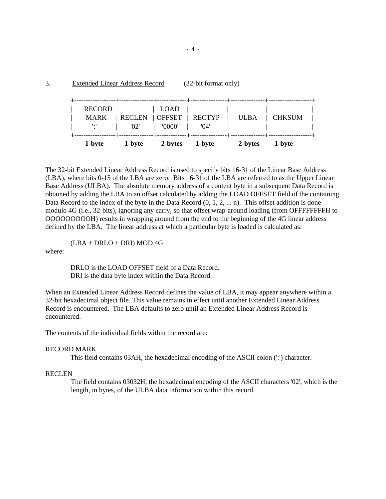| <b>Extended Linear Address Record</b> | (32-bit format only) |
|---------------------------------------|----------------------|
|                                       |                      |

| 1-byte                      | 1-byte                           | 2-bytes | 1-byte | 2-bytes     | 1-byte |  |
|-----------------------------|----------------------------------|---------|--------|-------------|--------|--|
| <b>MARK</b><br>$\mathbf{L}$ | RECLEN   OFFSET   RECTYP<br>'02' | '0000'  | '04'   | <b>ULBA</b> | CHKSUM |  |
| <b>RECORD</b>               |                                  | LOAD    |        |             |        |  |

The 32-bit Extended Linear Address Record is used to specify bits 16-31 of the Linear Base Address (LBA), where bits 0-15 of the LBA are zero. Bits 16-31 of the LBA are referred to as the Upper Linear Base Address (ULBA). The absolute memory address of a content byte in a subsequent Data Record is obtained by adding the LBA to an offset calculated by adding the LOAD OFFSET field of the containing Data Record to the index of the byte in the Data Record  $(0, 1, 2, \dots n)$ . This offset addition is done modulo 4G (i.e., 32-bits), ignoring any carry, so that offset wrap-around loading (from OFFFFFFFFH to OOOOOOOOOH) results in wrapping around from the end to the beginning of the 4G linear address defined by the LBA. The linear address at which a particular byte is loaded is calculated as:

 $(LBA + DRLO + DRI)$  MOD 4G

where:

DRLO is the LOAD OFFSET field of a Data Record. DRI is the data byte index within the Data Record.

When an Extended Linear Address Record defines the value of LBA, it may appear anywhere within a 32-bit hexadecimal object file. This value remains in effect until another Extended Linear Address Record is encountered. The LBA defaults to zero until an Extended Linear Address Record is encountered.

The contents of the individual fields within the record are:

# RECORD MARK

This field contains 03AH, the hexadecimal encoding of the ASCII colon (':') character.

# RECLEN

The field contains 03032H, the hexadecimal encoding of the ASCII characters '02', which is the length, in bytes, of the ULBA data information within this record.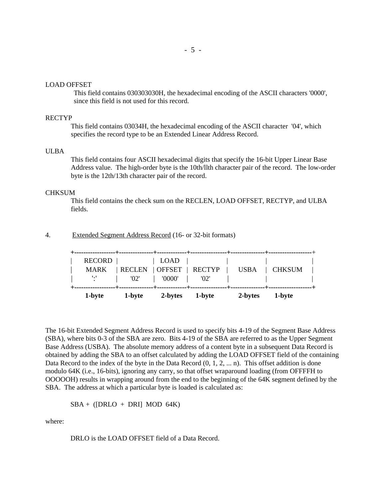#### LOAD OFFSET

This field contains 030303030H, the hexadecimal encoding of the ASCII characters '0000', since this field is not used for this record.

## RECTYP

This field contains 03034H, the hexadecimal encoding of the ASCII character '04', which specifies the record type to be an Extended Linear Address Record.

#### ULBA

This field contains four ASCII hexadecimal digits that specify the 16-bit Upper Linear Base Address value. The high-order byte is the 10th/llth character pair of the record. The low-order byte is the 12th/13th character pair of the record.

#### **CHKSUM**

This field contains the check sum on the RECLEN, LOAD OFFSET, RECTYP, and ULBA fields.

## 4. Extended Segment Address Record (16- or 32-bit formats)

| 1-byte             | 1-byte                          | 2-bytes | 1-byte | 2-bytes                      | 1-byte        |  |
|--------------------|---------------------------------|---------|--------|------------------------------|---------------|--|
| <b>MARK</b><br>一出一 | RECLEN   OFFSET   RECTYP<br>02' | '0000'  | 02'    | <b>USBA</b><br>and the state | <b>CHKSUM</b> |  |
| RECORD             |                                 | LOAD    |        |                              |               |  |
|                    |                                 |         |        |                              |               |  |

The 16-bit Extended Segment Address Record is used to specify bits 4-19 of the Segment Base Address (SBA), where bits 0-3 of the SBA are zero. Bits 4-19 of the SBA are referred to as the Upper Segment Base Address (USBA). The absolute memory address of a content byte in a subsequent Data Record is obtained by adding the SBA to an offset calculated by adding the LOAD OFFSET field of the containing Data Record to the index of the byte in the Data Record  $(0, 1, 2, \ldots n)$ . This offset addition is done modulo 64K (i.e., 16-bits), ignoring any carry, so that offset wraparound loading (from OFFFFH to OOOOOH) results in wrapping around from the end to the beginning of the 64K segment defined by the SBA. The address at which a particular byte is loaded is calculated as:

$$
SBA + ([DRLO + DRI] MOD 64K)
$$

where:

DRLO is the LOAD OFFSET field of a Data Record.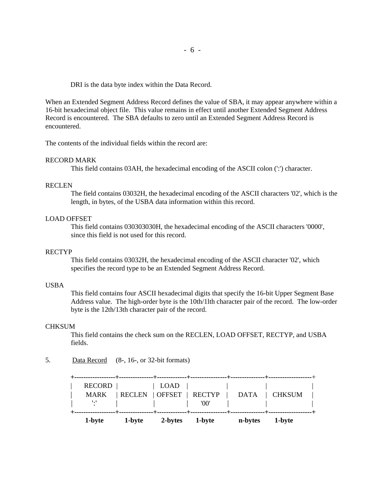DRI is the data byte index within the Data Record.

When an Extended Segment Address Record defines the value of SBA, it may appear anywhere within a 16-bit hexadecimal object file. This value remains in effect until another Extended Segment Address Record is encountered. The SBA defaults to zero until an Extended Segment Address Record is encountered.

The contents of the individual fields within the record are:

## RECORD MARK

This field contains 03AH, the hexadecimal encoding of the ASCII colon (':') character.

#### RECLEN

The field contains 03032H, the hexadecimal encoding of the ASCII characters '02', which is the length, in bytes, of the USBA data information within this record.

## LOAD OFFSET

This field contains 030303030H, the hexadecimal encoding of the ASCII characters '0000', since this field is not used for this record.

#### RECTYP

This field contains 03032H, the hexadecimal encoding of the ASCII character '02', which specifies the record type to be an Extended Segment Address Record.

## USBA

This field contains four ASCII hexadecimal digits that specify the 16-bit Upper Segment Base Address value. The high-order byte is the 10th/1lth character pair of the record. The low-order byte is the 12th/13th character pair of the record.

## **CHKSUM**

This field contains the check sum on the RECLEN, LOAD OFFSET, RECTYP, and USBA fields.

# 5. Data Record (8-, 16-, or 32-bit formats)

**+------------------+---------------+-------------+----------------+---------------+-------------------**+ RECORD | | LOAD | | | MARK | RECLEN | OFFSET | RECTYP | DATA | CHKSUM | | ':' | | | '00' | | | **+------------------+---------------+-------------+----------------+---------------+-------------------+ 1-byte 1-byte 2-bytes 1-byte n-bytes 1-byte**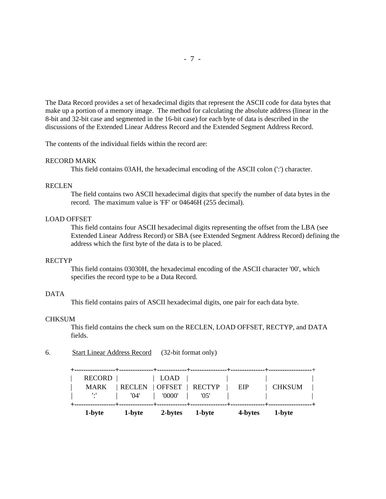The Data Record provides a set of hexadecimal digits that represent the ASCII code for data bytes that make up a portion of a memory image. The method for calculating the absolute address (linear in the 8-bit and 32-bit case and segmented in the 16-bit case) for each byte of data is described in the discussions of the Extended Linear Address Record and the Extended Segment Address Record.

The contents of the individual fields within the record are:

## RECORD MARK

This field contains 03AH, the hexadecimal encoding of the ASCII colon (':') character.

### **RECLEN**

The field contains two ASCII hexadecimal digits that specify the number of data bytes in the record. The maximum value is 'FF' or 04646H (255 decimal).

## LOAD OFFSET

This field contains four ASCII hexadecimal digits representing the offset from the LBA (see Extended Linear Address Record) or SBA (see Extended Segment Address Record) defining the address which the first byte of the data is to be placed.

#### RECTYP

This field contains 03030H, the hexadecimal encoding of the ASCII character '00', which specifies the record type to be a Data Record.

## DATA

This field contains pairs of ASCII hexadecimal digits, one pair for each data byte.

### **CHKSUM**

This field contains the check sum on the RECLEN, LOAD OFFSET, RECTYP, and DATA fields.

6. Start Linear Address Record (32-bit format only)

| 1-byte                                               | 1-byte                                             | 2-bytes        | 1-byte | 4-bytes | 1-byte        |  |
|------------------------------------------------------|----------------------------------------------------|----------------|--------|---------|---------------|--|
| <b>RECORD</b><br><b>MARK</b><br>$\dddot{\mathbf{r}}$ | RECLEN   OFFSET   RECTYP<br>$^{\prime}04^{\prime}$ | LOAD<br>'0000' | '05'   | EIP     | <b>CHKSUM</b> |  |
|                                                      |                                                    |                |        |         |               |  |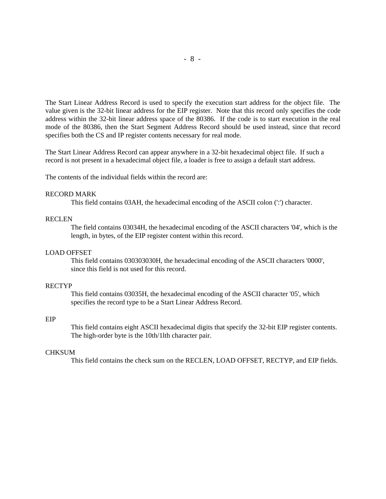The Start Linear Address Record is used to specify the execution start address for the object file. The value given is the 32-bit linear address for the EIP register. Note that this record only specifies the code address within the 32-bit linear address space of the 80386. If the code is to start execution in the real mode of the 80386, then the Start Segment Address Record should be used instead, since that record specifies both the CS and IP register contents necessary for real mode.

The Start Linear Address Record can appear anywhere in a 32-bit hexadecimal object file. If such a record is not present in a hexadecimal object file, a loader is free to assign a default start address.

The contents of the individual fields within the record are:

### RECORD MARK

This field contains 03AH, the hexadecimal encoding of the ASCII colon (':') character.

### RECLEN

The field contains 03034H, the hexadecimal encoding of the ASCII characters '04', which is the length, in bytes, of the EIP register content within this record.

#### LOAD OFFSET

This field contains 030303030H, the hexadecimal encoding of the ASCII characters '0000', since this field is not used for this record.

### RECTYP

This field contains 03035H, the hexadecimal encoding of the ASCII character '05', which specifies the record type to be a Start Linear Address Record.

#### EIP

This field contains eight ASCII hexadecimal digits that specify the 32-bit EIP register contents. The high-order byte is the 10th/1lth character pair.

### **CHKSUM**

This field contains the check sum on the RECLEN, LOAD OFFSET, RECTYP, and EIP fields.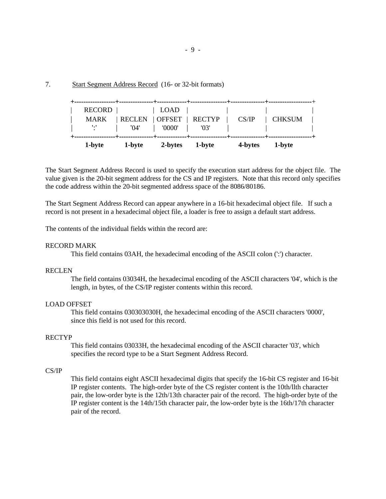7. Start Segment Address Record (16- or 32-bit formats)

| 1-byte                       | 1-byte                | 2-bytes                                 | 1-byte | 4-bytes | 1-byte        |  |
|------------------------------|-----------------------|-----------------------------------------|--------|---------|---------------|--|
| <b>MARK</b><br>$\mathcal{L}$ | <b>RECLEN</b><br>'04' | $\vert$ OFFSET $\vert$ RECTYP<br>'0000' | '03'   | CS/IP   | <b>CHKSUM</b> |  |
| RECORD                       |                       | LOAD                                    |        |         |               |  |

The Start Segment Address Record is used to specify the execution start address for the object file. The value given is the 20-bit segment address for the CS and IP registers. Note that this record only specifies the code address within the 20-bit segmented address space of the 8086/80186.

The Start Segment Address Record can appear anywhere in a 16-bit hexadecimal object file. If such a record is not present in a hexadecimal object file, a loader is free to assign a default start address.

The contents of the individual fields within the record are:

### RECORD MARK

This field contains 03AH, the hexadecimal encoding of the ASCII colon (':') character.

## RECLEN

The field contains 03034H, the hexadecimal encoding of the ASCII characters '04', which is the length, in bytes, of the CS/IP register contents within this record.

### LOAD OFFSET

This field contains 030303030H, the hexadecimal encoding of the ASCII characters '0000', since this field is not used for this record.

### RECTYP

This field contains 03033H, the hexadecimal encoding of the ASCII character '03', which specifies the record type to be a Start Segment Address Record.

## CS/IP

This field contains eight ASCII hexadecimal digits that specify the 16-bit CS register and 16-bit IP register contents. The high-order byte of the CS register content is the 10th/llth character pair, the low-order byte is the 12th/13th character pair of the record. The high-order byte of the IP register content is the 14th/15th character pair, the low-order byte is the 16th/17th character pair of the record.